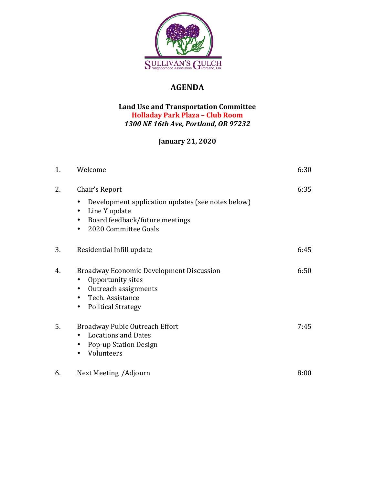

## **AGENDA**

## **Land Use and Transportation Committee Holladay Park Plaza – Club Room** *1300 NE 16th Ave, Portland, OR 97232*

## **January 21, 2020**

| 1. | Welcome                                                                                                                                                     | 6:30 |
|----|-------------------------------------------------------------------------------------------------------------------------------------------------------------|------|
| 2. | Chair's Report<br>Development application updates (see notes below)<br>Line Y update<br>Board feedback/future meetings<br>$\bullet$<br>2020 Committee Goals | 6:35 |
| 3. | Residential Infill update                                                                                                                                   | 6:45 |
| 4. | <b>Broadway Economic Development Discussion</b><br>Opportunity sites<br>Outreach assignments<br>Tech. Assistance<br><b>Political Strategy</b><br>$\bullet$  | 6:50 |
| 5. | <b>Broadway Pubic Outreach Effort</b><br><b>Locations and Dates</b><br><b>Pop-up Station Design</b><br>Volunteers                                           | 7:45 |
| 6. | Next Meeting / Adjourn                                                                                                                                      | 8:00 |